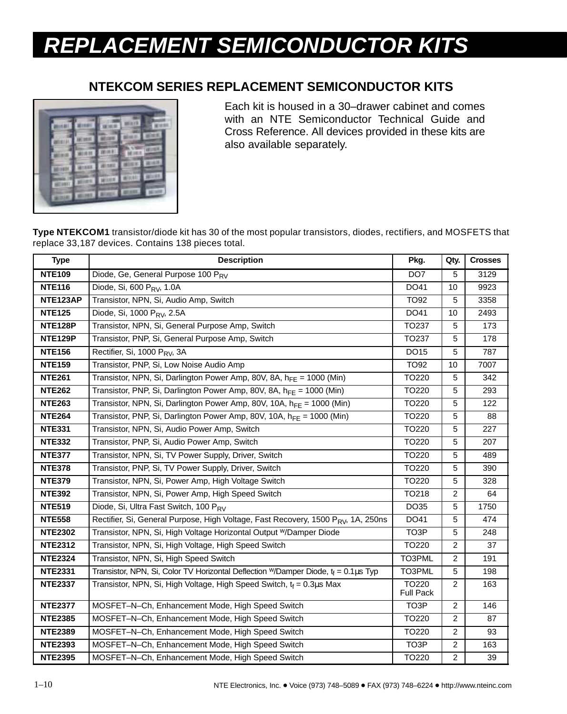## **REPLACEMENT SEMICONDUCTOR KITS**

## **NTEKCOM SERIES REPLACEMENT SEMICONDUCTOR KITS**



Each kit is housed in a 30–drawer cabinet and comes with an NTE Semiconductor Technical Guide and Cross Reference. All devices provided in these kits are also available separately.

**Type NTEKCOM1** transistor/diode kit has 30 of the most popular transistors, diodes, rectifiers, and MOSFETS that replace 33,187 devices. Contains 138 pieces total.

| <b>Type</b>    | <b>Description</b>                                                                        | Pkg.                      | Qty.           | <b>Crosses</b> |
|----------------|-------------------------------------------------------------------------------------------|---------------------------|----------------|----------------|
| <b>NTE109</b>  | Diode, Ge, General Purpose 100 PRV                                                        | DO <sub>7</sub>           | 5              | 3129           |
| <b>NTE116</b>  | Diode, Si, 600 P <sub>RV</sub> , 1.0A                                                     | DO41                      | 10             | 9923           |
| NTE123AP       | Transistor, NPN, Si, Audio Amp, Switch                                                    | TO92                      | 5              | 3358           |
| <b>NTE125</b>  | Diode, Si, 1000 P <sub>RV</sub> , 2.5A                                                    | DO41                      | 10             | 2493           |
| <b>NTE128P</b> | Transistor, NPN, Si, General Purpose Amp, Switch                                          | TO237                     | 5              | 173            |
| <b>NTE129P</b> | Transistor, PNP, Si, General Purpose Amp, Switch                                          | <b>TO237</b>              | 5              | 178            |
| <b>NTE156</b>  | Rectifier, Si, 1000 P <sub>RV</sub> , 3A                                                  | DO15                      | 5              | 787            |
| <b>NTE159</b>  | Transistor, PNP, Si, Low Noise Audio Amp                                                  | <b>TO92</b>               | 10             | 7007           |
| <b>NTE261</b>  | Transistor, NPN, Si, Darlington Power Amp, 80V, 8A, $h_{FF} = 1000$ (Min)                 | TO220                     | 5              | 342            |
| <b>NTE262</b>  | Transistor, PNP, Si, Darlington Power Amp, 80V, 8A, $h_{FF}$ = 1000 (Min)                 | TO220                     | 5              | 293            |
| <b>NTE263</b>  | Transistor, NPN, Si, Darlington Power Amp, 80V, 10A, $h_{FF}$ = 1000 (Min)                | TO220                     | 5              | 122            |
| <b>NTE264</b>  | Transistor, PNP, Si, Darlington Power Amp, 80V, 10A, $h_{FE} = 1000$ (Min)                | TO220                     | 5              | 88             |
| <b>NTE331</b>  | Transistor, NPN, Si, Audio Power Amp, Switch                                              | TO220                     | 5              | 227            |
| <b>NTE332</b>  | Transistor, PNP, Si, Audio Power Amp, Switch                                              | TO220                     | 5              | 207            |
| <b>NTE377</b>  | Transistor, NPN, Si, TV Power Supply, Driver, Switch                                      | TO220                     | 5              | 489            |
| <b>NTE378</b>  | Transistor, PNP, Si, TV Power Supply, Driver, Switch                                      | TO220                     | 5              | 390            |
| <b>NTE379</b>  | Transistor, NPN, Si, Power Amp, High Voltage Switch                                       | TO220                     | 5              | 328            |
| <b>NTE392</b>  | Transistor, NPN, Si, Power Amp, High Speed Switch                                         | TO218                     | 2              | 64             |
| <b>NTE519</b>  | Diode, Si, Ultra Fast Switch, 100 PRV                                                     | DO35                      | 5              | 1750           |
| <b>NTE558</b>  | Rectifier, Si, General Purpose, High Voltage, Fast Recovery, 1500 PRV, 1A, 250ns          | DO41                      | 5              | 474            |
| <b>NTE2302</b> | Transistor, NPN, Si, High Voltage Horizontal Output W/Damper Diode                        | TO3P                      | 5              | 248            |
| <b>NTE2312</b> | Transistor, NPN, Si, High Voltage, High Speed Switch                                      | TO220                     | $\overline{2}$ | 37             |
| <b>NTE2324</b> | Transistor, NPN, Si, High Speed Switch                                                    | TO3PML                    | 2              | 191            |
| <b>NTE2331</b> | Transistor, NPN, Si, Color TV Horizontal Deflection W/Damper Diode, $t_f = 0.1 \mu s$ Typ | TO3PML                    | 5              | 198            |
| <b>NTE2337</b> | Transistor, NPN, Si, High Voltage, High Speed Switch, $t_f = 0.3 \mu s$ Max               | TO220<br><b>Full Pack</b> | $\overline{2}$ | 163            |
| <b>NTE2377</b> | MOSFET-N-Ch, Enhancement Mode, High Speed Switch                                          | TO3P                      | $\overline{c}$ | 146            |
| <b>NTE2385</b> | MOSFET-N-Ch, Enhancement Mode, High Speed Switch                                          | TO220                     | $\overline{c}$ | 87             |
| <b>NTE2389</b> | MOSFET-N-Ch, Enhancement Mode, High Speed Switch                                          | TO220                     | $\overline{2}$ | 93             |
| <b>NTE2393</b> | MOSFET-N-Ch, Enhancement Mode, High Speed Switch                                          | TO3P                      | $\overline{2}$ | 163            |
| <b>NTE2395</b> | MOSFET-N-Ch, Enhancement Mode, High Speed Switch                                          | TO220                     | $\overline{2}$ | 39             |